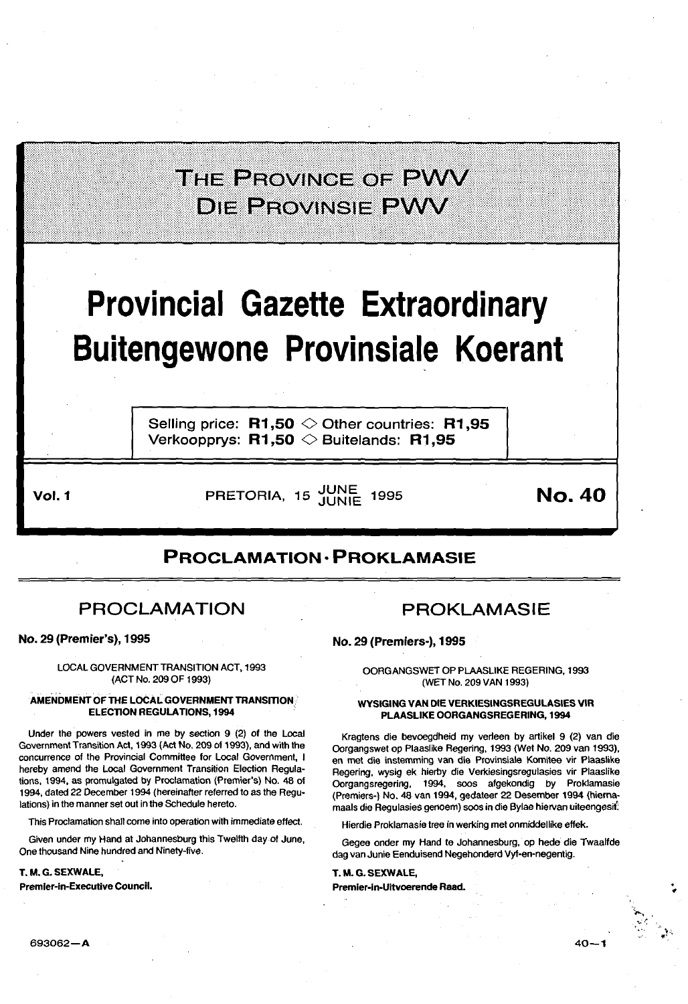|                                                                                    | THE PROVINCE OF PWV<br><b>DIE PROVINSIE PWV</b>                                                                |        |  |  |  |  |  |  |
|------------------------------------------------------------------------------------|----------------------------------------------------------------------------------------------------------------|--------|--|--|--|--|--|--|
| <b>Provincial Gazette Extraordinary</b><br><b>Buitengewone Provinsiale Koerant</b> |                                                                                                                |        |  |  |  |  |  |  |
|                                                                                    | Selling price: $R1,50 \diamond 0$ ther countries: R1,95<br>Verkoopprys: $R1,50 \diamondsuit$ Buitelands: R1,95 |        |  |  |  |  |  |  |
| Vol. 1                                                                             | PRETORIA, 15 JUNE<br>1995                                                                                      | No. 40 |  |  |  |  |  |  |

# **PROCLAMATION • PROKLAMASIE**

# PROCLAMATION

No. 29 (Premier's), 1995

LOCAL GOVERNMENT TRANSITION ACT, 1993 (ACT No. 209 OF 1993)

# AMENDMENT OF THE LOCAL GOVERNMENT TRANSITION. **ELECTION REGULATIONS, 1994**

Under the powers vested in me by section 9 (2) of the Local Government Transition Act, 1993 (Act No. 209 of 1993). and with the concurrence of the Provincial Committee for Local Government, I hereby amend the Local Government Transition Election Regula· lions, 1994, as promulgated by Proclamation (Premier's) No. 48 of 1994, dated 22 December 1994 (hereinafter referred to as the Regu· lations) in the manner set out in the Schedule hereto.

This Proclamation shall come into operation with immediate effect.

Given under my Hand at Johannesburg this Twelfth day of June, One thousand Nine hundred and Ninety-five.

# T. M.G. SEXWALE,

Premier-in-Executive Council.

# PROKLAMASIE

No. 29 (Premiers-), 1995

OORGANGSWET OP PLAASLIKE REGERING, 1993 (WET No. 209 VAN 1993)

# WYSIGING VAN DIE VERKIESINGSREGULASIES VIR PLAASLIKE OORGANGSREGERING, 1994

Kragtens die bevoegdheid my verleen by artikel 9 (2) van die Oorgangswet op Plaaslike Regering, 1993 (Wet No. 209 van 1993), en met die instemming van die Provinsiale Komitee vir Plaaslike Regering, wysig ek hierby die Verkiesingsregulasies vir Plaaslike Oorgangsregering, 1994, soos afgekondig by Proklamasie (Premiers-) No. 48 van 1994, gedateer 22 Desember 1994 (hiernamaals die Regulasies genoem) soos in die Bylae hiervan uiteengesit

Hierdie Proklamasie tree in werking met onmiddellike effek.

Gegee onder my Hand te Johannesburg, op hede die Twaalfde dag van Junie Eenduisend Negehonderd Vyf-en-negentig.

T. M.G. SEXWALE, Premier·ln·Uitvoerende Raad.

-~ *., .. :.-:*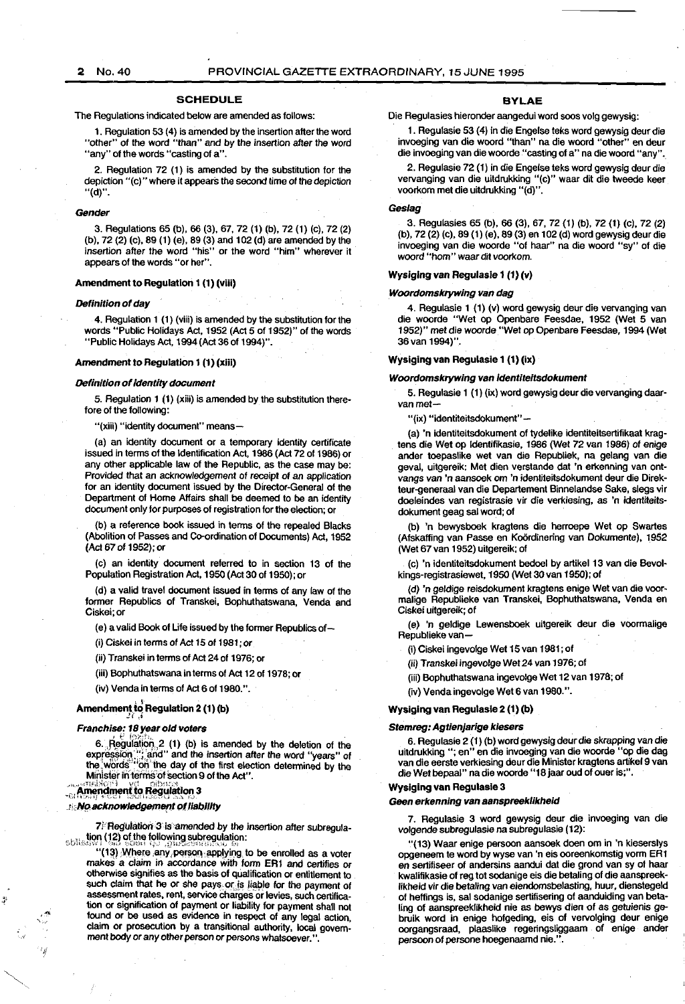#### **SCHEDULE**

The Regulations indicated below are amended as follows:

1. Regulation 53 (4) is amended by the insertion alter the word "other" of the word "than" and by the insertion after the word "any" of the words "casting of a".

2. Regulation 72 (1) is amended by the substitution for the depiction "(c)" where it appears the second time of the depiction "(d)".

#### Gender

3. Regulations 65 (b), 66 (3), 67, 72 (1) (b), 72 (1) (c), 72 (2) (b), 72 (2) (c), 89 (1) (e), 89 (3) and 102 (d) are amended by the insertion after the word "his" or the word "him" wherever it appears of the words "or her".

# Amendment to Regulation 1 (1) (viii)

#### Definition of day

4. Regulation 1 (1) (viii) is amended by the substitution for the words "Public Holidays Act, 1952 (Act 5 of 1952)" of the words "Public Holidays Act, 1994(Act 36of 1994)".

#### Amendment to Regulation 1 (1) (xlii)

#### Definition of identity document

5. Regulation 1 (1) (xiii) is amended by the substitution therefore of the following:

"(xiii) "identity document" means-

(a) an identity document or a temporary identity certificate issued in terms of the Identification Act, 1986 (Act 72 of 1986) or any other applicable law of the Republic, as the case may be: Provided that an acknowledgement of receipt of an application for an identity document issued by the Director-General of the Department of Home Affairs shall be deemed to be an identity document only for purposes of registration for the election; or

(b) a reference book issued in terms of the repealed Blacks (Abolition of Passes and Co-ordination of Documents) Act, 1952 (Act 67 of 1952); or

(c) an identity document referred to in section 13 of the Population Registration Act, 1950 (Act 30 of 1950); or

(d) a valid travel document issued in terms of any law of the former Republics of Transkei, Bophuthatswana, Venda and Ciskei;or

(e) a valid Book of Life issued by the former Republics of-

(i) Ciskei in terms of Act 15 of 1981; or

(ii) Transkei in terms of Act 24 of 1976; or

(iii) Bophuthatswana in terms of Act 12 of 1978; or

# (iv) Venda in terms of Act 6 of 1980.".

# Amendment to Regulation 2 (1) (b)

# Franchise: 18 year old voters

6. Regulation 2 (1) (b) is amended by the deletion of the expression,"; and" and the insertion after the word "years" of the words "on the day of the first election determined by the Minister in terms of section 9 of the Act".

# $\ldots$  Amendment to Regulation 3

I!/

## . No acknowledgement of liability

 $7$ <sup> $\mu$ </sup> Regulation  $3$  is amended by the insertion after subregula-. , , \_\i<;ln (J 2) ol\_the following sullregulation: (,(;H\_\:•.\~''" J *··,Jo;)* ~:.·i..Jt"l!! ';'--' ,;jiU·\_.,;~:'! 1! ~-'" -.\_!(\_, !On

(13) Where any person applying to be enrolled as a voter makes a claim in accordance with form ER1 and certifies or otherwise signifies as the basis of qualification or entitlement to such claim that he or she pays or is liable for the payment of assessment rates, rent, service charges or levies, such certification or signification of payment or liability for payment shall not found or be used as evidence in respect of any legal action, claim or prosecution by a transitional authority, local government body or any other person or persons whatsoever.".

#### BYLAE

Die Regulasies hieronder aangedui word soos volg gewysig:

1. Regulasie 53 (4) in die Engelse leks word gewysig deur die invoeging van die woord "than" na die woord "other" en deur die invoeging van die woorde "casting of a" na die woord "any".\_

2. Regulasie 72 (1) in die Engelse leks word gewysig deur die vervanging van die uitdrukking "(c)" waar dit die tweede keer voorkom met die uitdrukking "(d)".

#### Geslag

3. Regulasies 65 (b), 66 (3), 67, 72 (1) (b), 72 (1) (c), 72 (2) (b), 72 (2) (c), 89 (1) (e), 89 (3) en 102 (d) word gewysig deurdie invoeging van die woorde "of haar" na die woord "sy" of die woord "hom" waar dit voorkom.

#### Wysiglng van Regulasle 1 (1) (v)

#### Woordomskrywing van dag

4. Regulasie 1 (1) (v) word gewysig deur die vervanging van die wocrde "Wet op Openbare Feesdae, 1952 (Wet 5 van 1952)" met die woorde "Wet op Openbare Feesdae, 1994 (Wet 36van 1994)".

# Wysiging van Regulasie 1 (1) (ix)

#### Woordomskrywing van identiteitsdokument

5. Regulasie 1 (1) (ix) word gewysig deur die vervanging daarvan met-

"(ix) "identiteitsdokument"-

(a) 'n identiteitsdokument of tydelike identiteitsertifikaat kragtens die Wet op Identifikasie, 1986 (Wet 72 van 1986) of enige ander toepaslike wet van die Republiek, na gelang van die geval, uitgereik: Met dien verstande dat 'n erkenning van ontvangs van 'n aansoek om 'n identiteitsdokument deur die Direkteur-generaal van die Departement Binnelandse Sake, slegs vir doeleindes van registrasie vir die verkiesing, as 'n identiteitsdokument geag sal word; of

(b) 'n bewysboek kragtens die herroepe Wet op Swartes (Afskaffing van Passe en Koördinering van Dokumente), 1952 (Wet 67 van 1952) uitgereik; of

(c) 'n identiteitsdokument bedoel by artikel 13 van die Bevolkings-registrasiewet, 1950 (Wet 30 van 1950); of

(d) 'n geldige reisdokument kragtens enige Wet van die vocrmalige Republieke van Transkei, Bophuthatswana, Venda en Ciskei uitgereik; of

(e) 'n geldige Lewensboek uitgereik deur die voormalige Republieke van-

(i) Ciskei ingevolge Wet 15van 1981; of

(ii) Transkei ingevolge Wet24 van 1976; of

(iii) Bophuthatswana ingevolge Wet 12 van 1978; of

(iv) Venda ingevolge Wet 6 van 1980. ".

# Wysiglng van Regulasle 2 (1) (b)

#### Stemreg: Agtienjarige kiesers

6. Regulasie 2 (1) (b) word gewysig deur die skrapping van die uitdrukking ";en" en die invoeging van die wocrde "op die dag van die eerste verkiesing deur die Minister kragtens artikel9 van die Wet bepaal" na die woorde "18 jaar oud of ouer is;".

#### Wyslging van Regulasle 3

#### Geen erkenning van aanspreeklikheid

7. Regulasie 3 word gewysig deur die invoeging van die volgende subregulasie na subregulasie (12):

"(13) Waar enige persoon aansoek doen om in 'n kieserslys opgeneem te word by wyse van 'n eis ocreenkomstig vorm ER1 en sertifiseer of andersins aandui dat die grand van sy of haar kwalifikasie of reg tot sodanige eis die betaling of die aanspreeklikheid vir die betaling van eiendomsbelasting, huur, dienstegeld of heffings is, sal sodanige sertifisering of aanduiding van betaling of aanspreeklikheid nie as bewys dien of as getuienis gebruik word in enige holgeding, eis of vervolging deur enige ocrgangsraad, plaaslike regeringsliggaam of enige ander persoon of persone hoegenaamd nie.".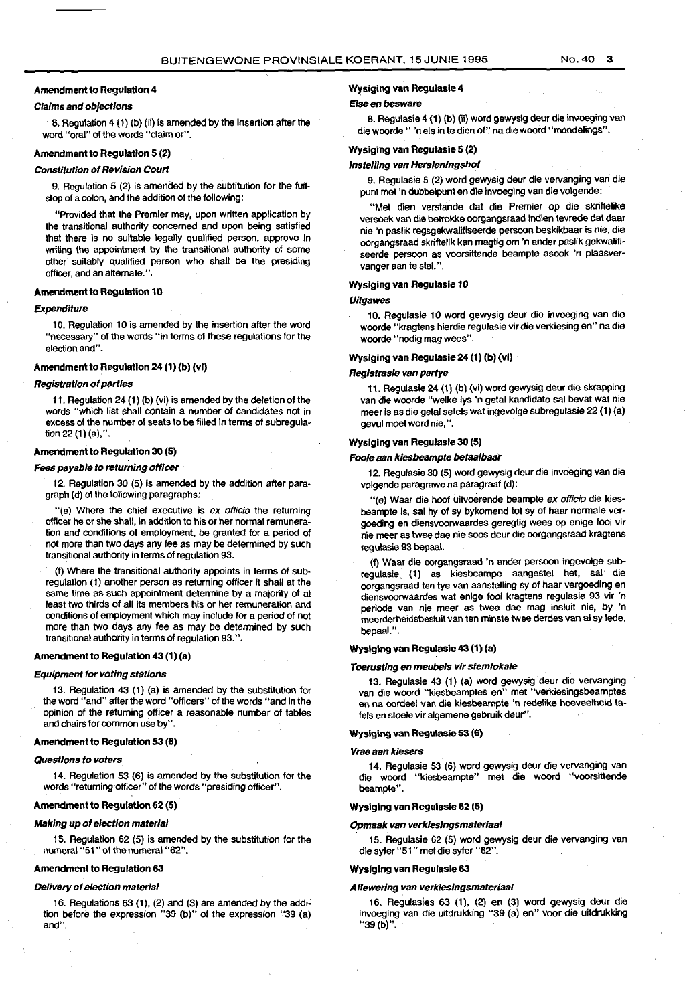# Amendment to Regulation 4

# Claims and objections

8. Regulation 4 (1) (b) (ii) is amended by the insertion after the word "oral" of the words "claim or".

# Amendment to Regulation 5 (2)

### Constitution of Revision Court

9. Regulation 5 (2) is amended by the subtitution for the fuil· stop of a colon, and the addition of the following:

"Provided that the Premier may, upon written application by the transitional authority concerned and upon being satisfied that there is no suitable legally qualified person, approve in writing the appointment by the transitional authority of some other suitably qualified person who shall be the presiding officer, and an alternate.".

# Amendment to Regulation 10

# Expenditure

10. Regulation 10 is amended by the insertion after the word "necessary" of the words "in terms of these regulations for the election and".

# Amendment to Regulation 24 (1) (b) (vi)

# Registration of parties

11. Regulation 24 (1) (b) (vi) is amended by the deletion of the words "which list shall contain a number of candidates not in excess of the number of seats to be filled in terms of subregulation 22 (1) (a),".

#### Amendment to Regulation 30 (5)

#### Fees payable to returning officer

12. Regulation 30 (5) is amended by the addition after paragraph (d) of the following paragraphs:

"(e) Where the chief executive is ex officio the returning officer he or she shall, in addition to his or her normal remuneration and conditions of employment, be granted for a period of not more than two days any fee as may be determined by such transitional authority in terms of regulation 93.

(f) Where the transitional authority appoints in terms of subregulation (1) another person as returning officer it shall at the same time as such appointment determine by a majority of at least two thirds of all its members his or her remuneration and conditions of employment which may include for a period of not more than two days any fee as may be determined by such transitional authority in terms of regulation 93. ".

# Amendment to Regulation 43 (1) (a)

#### Equipment for voting stations

13. Regulation 43 (1) (a) is amended by the substitution for the word "and" after the word "officers" of the words "and in the opinion of the returning officer a reasonable number of tables and chairs for common use by".

## Amendment to Regulation 53 (6)

#### Questions to voters

14. Regulation 53 (6) is amended by the substitution for the words "returning officer" of the words "presiding officer".

# Amendment to Regulation 62 (5)

#### Making up of election material

15. Regulation 62 (5) is amended by the substitution for the numeral"51" of the numeral "62".

#### Amendment to Regulation 63

#### Delivery of election material

16. Regulations 63 (1), (2) and (3) are amended by the addi· tion before the expression "39 (b)" of the expression "39 (a) and".

# Wysiging van Regulasie 4

#### Else en besware

B. Regulasie 4 ( 1) (b) (ii) word gewysig deur die invoeging van die woorde" 'neisin te dien of" nadiewoord "mondelings".

# Wysiging van Regulasie 5 (2)

## lnstelling van Hersieningshof

9. Regulasie 5 (2) word gewysig deur die vervanging van die punt met 'n dUbbelpunt en die invoeging van die volgende:

"Met dien verstande dat die Premier op die skriftelike versoek van die betrokke oorgangsraad indien tevrede dat daar nie 'n paslik regsgekwalifiseerde persoon beskikbaar is nie, die oorgangsraad skriflelik kan magtig om 'n ander paslik gekwalifi· seerde persoon as voorsittende beampte asook 'n plaasvervanger aan te stel. ".

#### Wysiglng van Regulasie 10

#### **Uitgawes**

10. Regulasie 10 word gewysig deur die invoeging van die woorde "kragtens hierdie regulasie vir die verkiesing en" na die woorde "nodig mag wees".

#### Wyslglng van Regulasie 24 (1) (b) (vi)

#### Registrasie van partye

11. Regulasie 24 (1) (b) (vi) word gewysig deur die skrapping van die woorde "welke lys 'n getal kandidate sal bevat wat nie meer is as die getal setels wat ingevolge subregulasie 22 (1) (a) gevul moet word nie, ".

# Wysiging van Regulasie 30 (5)

## Foole aan klesbeampte betaalbaar

12. Regulasie 30 (5) word gewysig deur die invoeging van die volgende paragrawe na paragraaf (d):

"(e) Waar die hoof uitvoerende beampte ex officio die kiesbeampte is, sal hy of sy bykomend tot sy of haar normale vergoeding en diensvoorwaardes geregtig wees op enige fooi vir nie meer as twee dae nie soos deur die oorgangsraad kragtens regulasie 93 bepaal.

(f) Waar die oorgangsraad 'n ander persoon ingevolge subregulasie (1) as kiesbeampe aangestel het, sal die oorgangsraad ten tye van aanstelling sy of haar vergoeding en diensvoorwaardes wat enige fooi kragtens regulasie 93 vir 'n periode van nie meer as twee dae mag insluit nie, by 'n meerderheidsbesluit van ten minste twee derdes van al sy lede, bepaal.".

## Wyslging van Regulasle 43 (1) (a)

# Toerusting en meubels vir stemlokale

13. Regulasie 43 (1) (a) word gewysig deur die vervanging van die woord "kiesbeamptes en" met "verkiesingsbeamptes en na oordeel van die kiesbeampte 'n redelike hoeveelheid tafels en stoele vir algemene gebruik deur".

# Wysiglng van Regulasie 53 (6)

#### Vrae aan kiesers

14. Regulasie 53 (6) word gewysig deur die vervanging van die woord "kiesbeampte" met die woord "voorsittende beampte".

# Wyslglng van Regulasie 62 (5)

#### Opmaak van verkiesingsmateriaal

15. Regulasie 62 (5) word gewysig deur die vervanging van die syfer "51" met die syfer "62".

## Wyslging van Regulasle 63

#### Affewering van verkleslngsmater/aal

16. Regulasies 63 (1), (2) en (3) word gewysig deur die invoeging van die uitdrukking "39 (a) en" voor die uitdrukking "39(b)".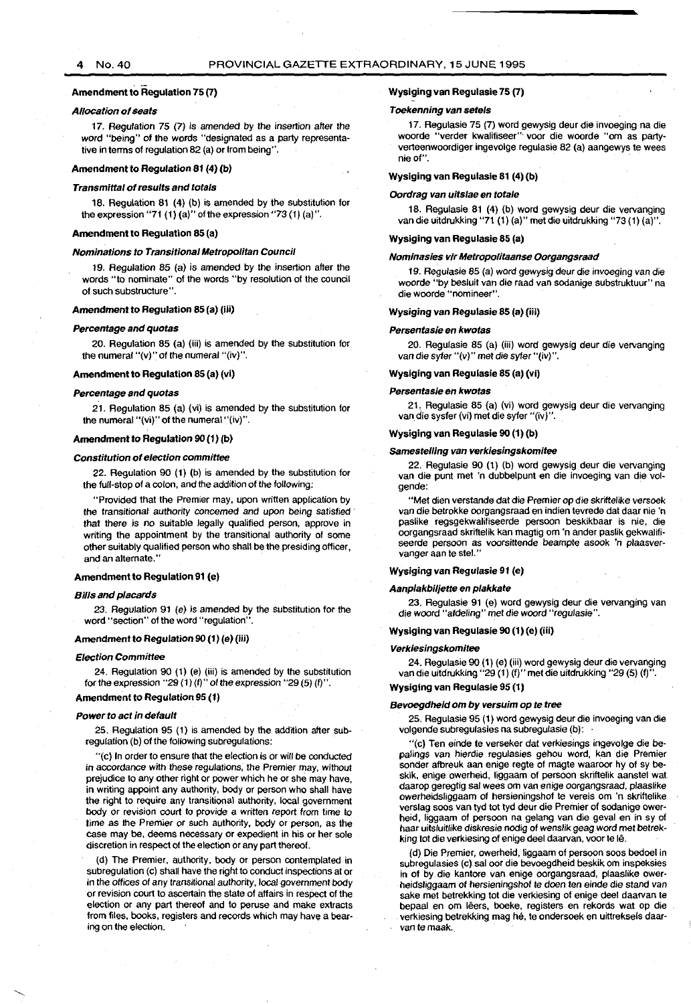# 4 No. 40 PROVINCIAL GAZETTE EXTRAORDINARY, 15 JUNE 1995

# Amendment to Regulation 75 (7)

#### Allocation of seats

17. Regulation 75 (7) is amended by the insertion after the word "being" of the words "designated as a party representa· tive in terms of regulation 82 (a) or from being".

# Amendment to Regulation 81 (4) (b)

#### Transmittal of results and totals

18. Regulation 81 {4) {b) is amended by the substitution for the expression "71  $(1)$   $(a)$ " of the expression "73  $(1)$   $(a)$ ".

#### Amendment to Regulation 85 {a)

#### Nominations to Transitional Metropolitan Council

19. Regulation 85 (a) is amended by the insertion after the words "to nominate" of the words "by resolution of the council of such substructure''.

# Amendment to Regulation 85 (a) (iii)

#### Percentage and quotas

20. Regulation 85 (a) {iii) is amended by the substitution for the numeral "(v)" of the numeral "(iv)".

#### Amendment to Regulation 85 {a) (vi)

#### Percentage and quotas

21. Regulation 65 (a) {vi) is amended by the substitution lor the numeral "{vi)" of the numeral "(iv)".

# Amendment to Regulation 90 (1) (b)

#### Constitution of election committee

22. Regulation 90 {1) (b) is amended by the substitution for the full-stop of a colon, and the addition of the following:

"Provided that the Premier may, upon written application by the transitional authority concerned and upon being satisfied that there is no suitable legally qualified person, approve in writing the appointment by the transitional authority of some other suitably qualified person who shall be the presiding officer, and an alternate."

#### Amendment to Regulation 91 (e)

## Bills and placards

23. Regulation 91 (e) is amended by the substitution for the word "section" of the word "regulation".

#### Amendment to Regulation 90 (1) (e) (iii)

#### Election Committee

24. Regulation 90 {1) {e) {iii) is amended by the substitution for the expression "29  $(1)$   $(1)$ " of the expression "29  $(5)$   $(1)$ ".

## Amendment to Regulation 95 (1)

#### Power to act in default

25. Regulation 95 {1) is amended by the addition after subregulation {b) of the following subregulations:

"{c) In order to ensure that the election is or will be conducted in accordance with these regulations, the Premier may, without prejudice to any other right or power which he or she may have, in writing appoint any authority, body or person who shall have the right to require any transitional authority, local government body or revision court to provide a written report from time to time as the Premier or such authority, body or person, as the case may be, deems necessary or expedient in his or her sole discretion in respect of the election or any part thereof.

{d) The Premier, authority, body or person contemplated in sub regulation (c) shall have the right to conduct inspections at or in the offices of any transitional authority, local government body or revision court to ascertain the state of affairs in respect of the election or any part thereof and to peruse and make extracts from files, books, registers and records which may have a bearing on the election.

# Wysiging van Regulasie 75 (7)

#### Toekenning van setels

17. Regulasie 75 {7) word gewysig deur die invoeging na die woorde "verder kwalifiseer"' voor die woorde "om as partyverteenwoordiger ingevolge regulasie 62 (a) aangewys te wees nieof".

# Wysiging van Regulasie 81 (4) (b)

#### Oordrag van uitslae en totale

16. Regulasie 61 {4) {b) word gewysig deur die vervanging van die uitdrukking "71 {1) (a)" met die uitdrukking "73 {1) {a)".

# Wysiging van Regulasie 85 (a)

#### Nominasies vir Metropolitaanse Oorgangsraad

19. Regulasie 85 (a) word gewysig deur die invoeging van die woorde "by besluit van die raad van sodanige substruktuur" na die woorde "nomineer".

#### Wysiging van Regulasie 85 (a) (iii)

#### Persentasie en kwotas

20. Regulasie 85 {a) {iii) word gewysig deur die vervanging van die syfer "(v)" met die syfer "(iv)".

## Wysiging van Regulasie 85 (a) (vi)

#### Persentasie en kwotas

21, Regulasie 65 {a) {vi) word gewysig deur die vervanging van die sysfer {vi) met die syfer "(iv)".

#### Wysiging van Regulasie 90 (1) (b)

#### Samestelling van verkiesingskomitee

22. Regulasie 90 {1) {b) word gewysig deur die vervanging van die punt met 'n dubbelpunt en die invoeging van die volgende:

"Met dien verstande dat die Premier op die skriffelike versoek van die betrokke oorgangsraad en indien tevrede dat daar nie 'n paslike regsgekwalifiseerde persoon beskikbaar is nie, die oorgangsraad skriftelik kan magtig om 'n ander paslik gekwalifiseerde persoon as voorsittende beampte asook 'n plaasvervanger aan te stel."

#### Wysiging van Regulasie 91 (e)

#### Aanplakbiljette en plakkate

23. Regulasie 91 {e) word gewysig deur die vervanging van die woord "afdeling" met die woord "regulasie".

#### Wysiging van Regulasie 90 (1) (e) (iii)

#### Verkiesingskomitee

24. Regulasie 90 {1) {e) {iii) word gewysig deur die vervanging van die uitdrukking "29 {1) (f)" met die uitdrukking "29 (5) (f)".

## Wysiging van Regulasie 95 (1)

#### Bevoegdheid om by versuim op te tree

25, Regulasie 95 {1) word gewysig deur die invoeging van die volgende subregulasies na subregulasie (b):

"{c) Ten einde te verseker dat verkiesings ingevolge die be· palings van hierdie regulasies gehou word, kan die Premier sonder afbreuk aan enige regte of magte waaroor hy of sy beskik, enige owerheid, liggaam of persoon skriflelik aanstel wat daarop geregtig sal wees om van enige oorgangsraad, plaaslike owerheidsliggaam of hersieningshof te vereis om 'n skriftelike verslag soos van tyd tot tyd deur die Premier of sodanige ower· heid, liggaam of persoon na gelang van die geval en in sy of haar uitsluitlike diskresie nodig of wenslik geag word met betrekking tot die verkiesing of enige deel daarvan, voor te le.

{d) Die Premier, owerheid, liggaam of persoon soos bedoel in subregulasies {c) sal oor die bevoegdheid beskik om inspeksies in of by die kantore van enige oorgangsraad, plaaslike ower· heidsliggaam of hersieningshof te doen ten einde die stand van sake met betrekking tot die verkiesing of enige deel daarvan te bepaal en om leers, boeke, registers en rekords wat op die verkiesing betrekking mag he, te ondersoek en uittreksels daar· van te maak.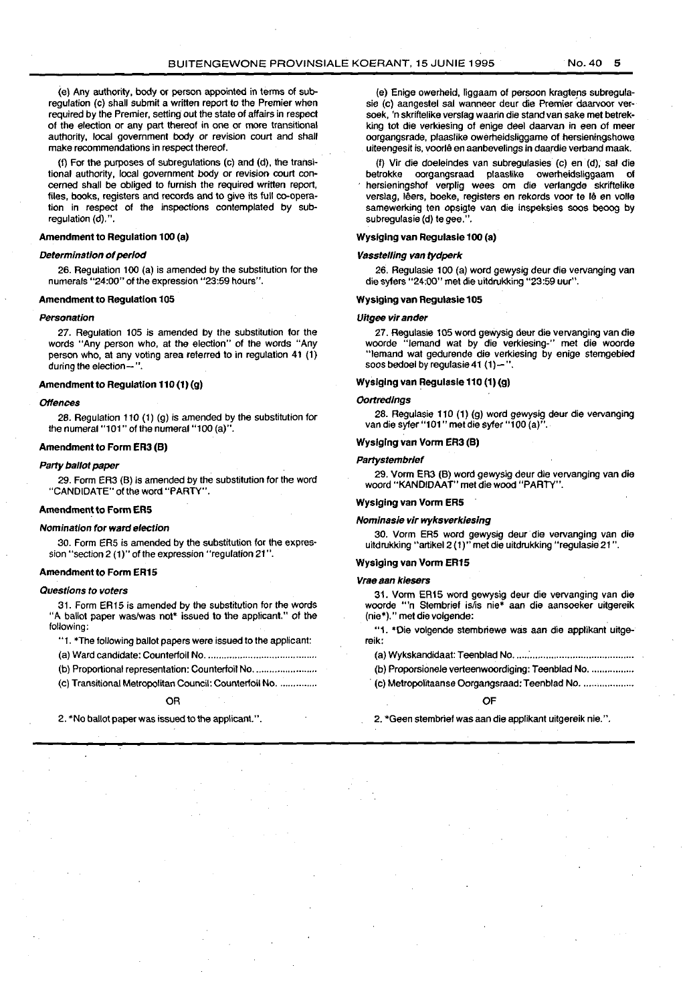(e) Any authority, body or person appointed in terms of subregulation (c) shall submit a written report to the Premier when required by the Premier, setting out the state of affairs in respect of the election or any part thereof in one or more transitional authority, local government body or revision court and shall make recommendations in respect thereof.

(f) For the purposes of subregulations (c) and (d), the transi· tional authority, local government body or revision court con· cerned shall be obliged to furnish the required written report, files, books, registers and records and to give its full co-operation in respect of the inspections contemplated by subregulation (d).".

# Amendment to Regulation 100 (a)

## Determination of period

26. Regulation 100 (a) is amended by the substitution for the numerals "24:00" of the expression "23:59 hours".

### Amendment to Regulation 105

#### Personation

27. Regulation 105 is amended by the substitution for the words "Any person who, at the election" of the words "Any person who, at any voting area referred to in regulation 41 (1) during the election-".

#### Amendment to Regulation 110  $(1)$   $(q)$

#### **Offences**

28. Regulation 110 (1) (g) is amended by the substitution for the numeral "101" of the numeral "100 (a)".

#### Amendment to Form ER3 (B)

#### Party ballot paper

29. Form ER3 (B) is amended by the substitution for the word "CANDIDATE" of the word "PARTY".

#### Amendment to FormERS

#### Nomination for ward election

30. Form ER5 is amended by the substitution for the expres· sion "section 2 (1)" of the expression "regulation 21".

#### Amendment to Form ER15

#### Questions to voters

31. Form ER15 is amended by the substitution for the words "A ballot paper was/was not• issued to the applicant." of the following:

"1 . \*The following ballot papers were issued to the applicant:

- (a) Ward candidate: Counterfoil No ......................................... .
- (b) Proportional representation: Counterfoil No. ................................
- (c) Transitional Metropolitan Council: Counterfoil No. ..............

#### OR

2. \*No ballot paper was issued to the applicant.".

(e) Enige owerheid, liggaam of persoon kragtens subregula· sie (c) aangestel sal wanneer deur die Premier daarvoor versoek, 'n skriftelike verslag waarin die stand *van* sake met betrek· king tot die verkiesing of enige deel daarvan in een of meer oorgangsrade, plaaslike owerheidsliggame of hersieningshowe uiteengesit is, voorle en aanbevelings in daardie verband maak.

(f) Vir die doeleindes *van* subregulasies (c) en (d), sal die oorgangsraad plaaslike owerheidsliggaam hersieningshof verplig wees om die verlangde skriftelike verslag, lêers, boeke, registers en rekords voor te lê en volle samewerking ten opsigte van die inspeksies soos beoog by subregulasie (d) te gee.".

# Wyslglng van Regulasle 100 (a)

# Vasstel/lng van tydperk

26. Regulasie 100 (a) word gewysig deur die vervanging *van* die syfers "24:00" met die uitdrukking "23:59 uur".

#### Wyslging van Regulasle 105

#### Uitgee vir ander

27. Regulasie 105 word gewysig deur die vervanging van die woorde "Jemand wat by die verkiesing-" met die woorde woorde "lemand wat by die verkiesing-" met die woorde "lemand wat gedurende die verkiesing by enige stemgebied soos bedoel by regulasie 41 $(1)$ -".

#### Wyslglng van Regulasle 110 (1) (g)

#### **Oortredings**

28. Regulasie 110 (1) (g) word gewysig deur die vervanging van die syler "101" met die syler "100 (a)".

# Wysiging van Vorm ER3 (B)

#### **Partystembrief**

29. Vorm ER3 (B) word gewysig deur die vervanging van die woord "KANDIDAAT" met die wood "PARTY".

# Wyslglng van Vonn ERS

#### Nominasie vir wyksverkiesing

30. Vorm ERS word gewysig deur ·die vervanging van die uitdrukking "artikel2 ( 1)" met die uitdrukking "regulasie 21 ".

# Wyslglng van Vorm ER15

#### Vrae aan klesers

31. Vorm ER15 word gewysig deur die vervanging *van* die woorde "'n Stembrief is/is nie\* aan die aansoeker uitgereik (nie\*)." met die volgende:

"1. \*Die volgende stembriewe was aan die applikant uitgereik:

(a) Wykskandidaat: Teenblad No ..... : ..................................... ..

- (b) Proporsionele verteenwoordiging: Teenblad No. ................
- (c) Metropolitaanse Oorgangsraad: Teenblad No. ...................

# OF

2. \*Geen stembrief was aan die applikant uitgereik nie. ".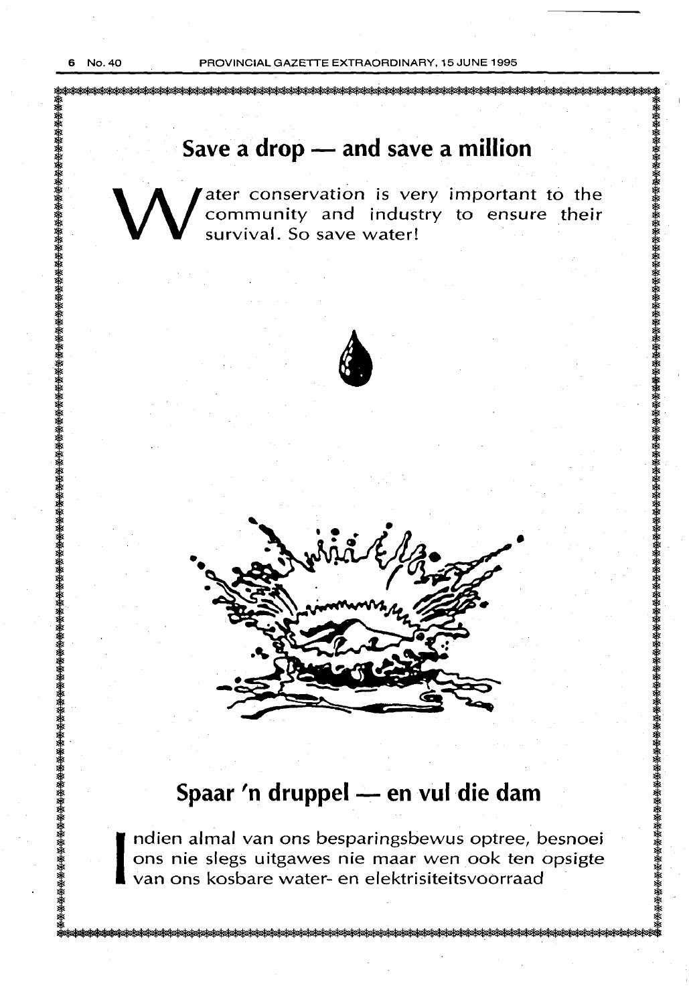# Save a drop - and save a million

W ater conservation is very important to the community and industry to ensure their survival. So save water! community and industry to ensure their survival. So save water!





# **Spaar 'n druppel- en vul die dam**

ndien almal van ons besparingsbewus optree, besnoei ons nie slegs uitgawes nie maar wen ook ten opsigte van ons kosbare water- en elektrisiteitsvoorraad ·

ksksksksksksksksksksksksksk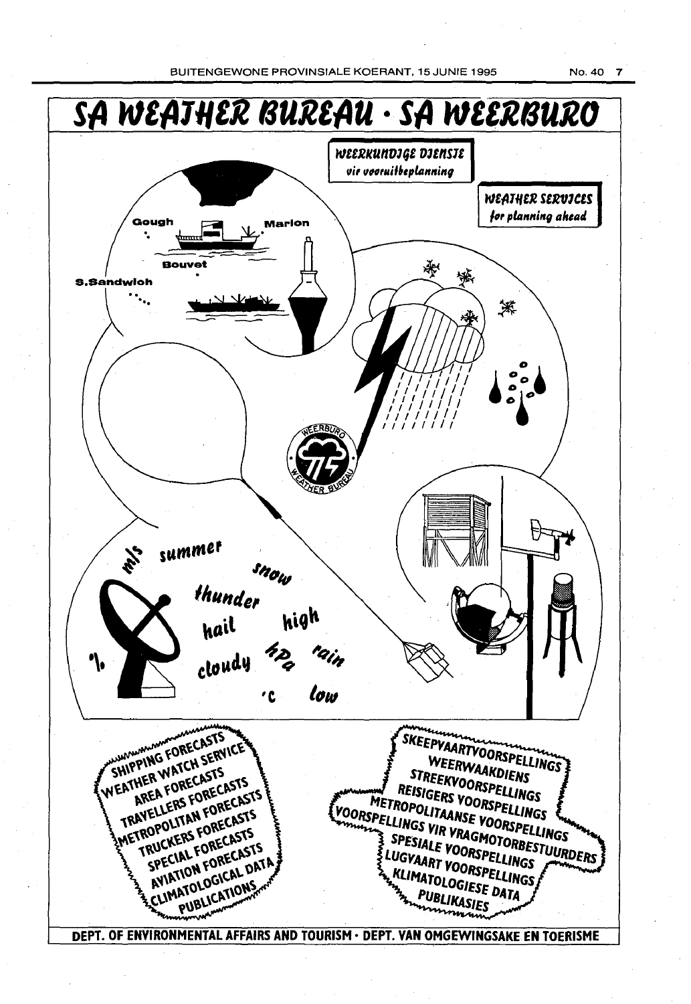BUITENGEWONE PROVINSIALE KOERANT, 15 JUNIE 1995 No. 40 7

**SA W£A111£R BUREAU · SA W££RBURO**  WEERKUNDJGE DJENSJE *11ir 11Hrui16epltlnning*  111£fi111£R S£R11JC£S  $\cdot$  .  $\frac{1}{\sqrt{1-\frac{1}{2}}}\times\frac{1}{2}$ ,,, *planning aheatl*  Gough **Family** Marion Bouvet 锳 s. Sandwich 茶 summer ity<br>Th snow thunder high hail cloudy ١ı low 'C **SHIPPING FORECASTS** SKEEPVAARTVOORSPELLINGS WEATHER WATCH SERVICE WEERWAAKDIENS PPINO WATCH SELF<br>THER WATCH SELFS<br>AREA FORECASTS STREERWAAKDIENS<br>EISIGERS VOORSPELLINGS HIP HER WALL CASTS **PIREEKVOORSPELLINGS<br>REISIGERS VOORSPELLINGS<br>ROPOLITAANSE VOORGPELLINGS** EATHER FORECASTS<br>TRAVELLERS FORECASTS<br>TRAVELLERS FORECASTS<br>TRAVELLERS FORECASTS METROPOLITAANSE VOORSPELLINGS<br>SPELLINGS VIR VRAGMORSPELLINGS<br>SPELLINGS VIR VRAGMOTORSPELLINGS<br>TESIALE VOOR VOORBESTINGS METROPOLITAANSE VOORSPELLINGS ANELLERS FORECASTS ROPOLITAL FORECASTS **SPESIALE VOORSPELINGS<br>LUGVAART VOORSPELLINGS<br>LUGVAART VOORSPELLINGS RUCKERS FORECASTS**<br>SPECIAL FORECASTS<br>SPECIAL FORECASTS<br>AVIATION FORCAL DAT **TESTALE VOORSPELLINGS<br>LUGVAART VOORSPELLINGS<br>5 KLIMATOLOGIESE DATES TROPECIAL FORECASTS** KLIMATOLOGIESE DATA **NOLOGICAL**<br>PUBLICATIONS **PUBLIKASIESE** DEPT. OF ENVIRONMENTAL AFFAIRS AND TOURISM· DEPT. VAN OMGEWINGSAKE EN TOERISME